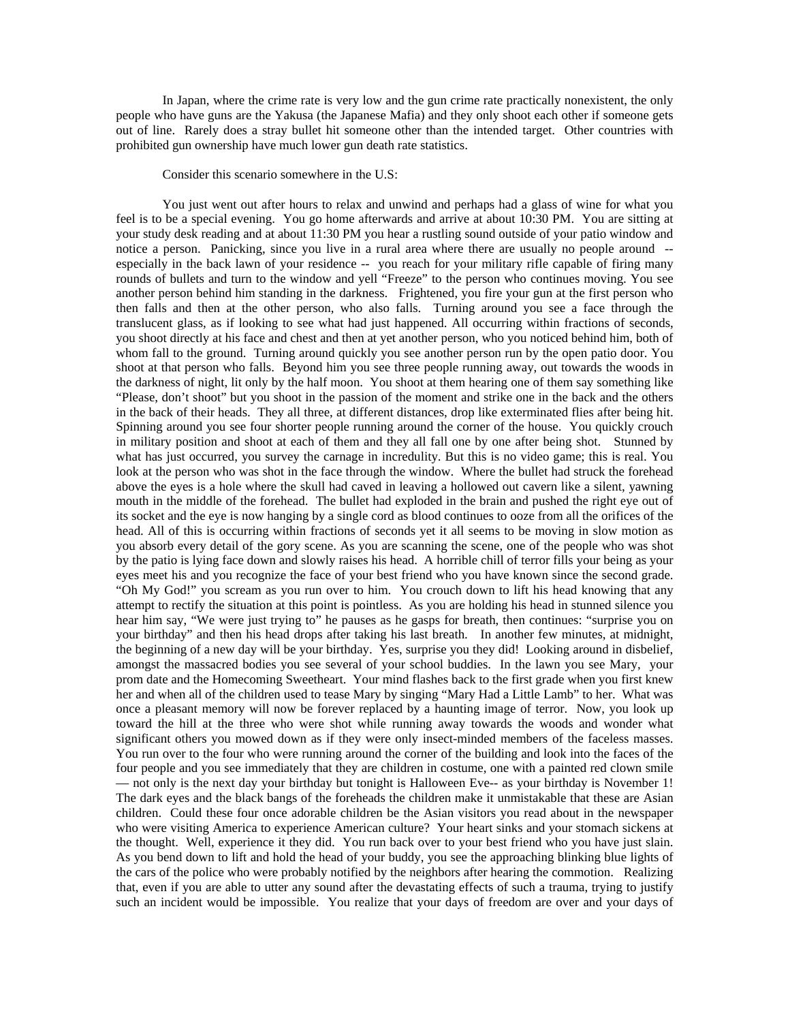In Japan, where the crime rate is very low and the gun crime rate practically nonexistent, the only people who have guns are the Yakusa (the Japanese Mafia) and they only shoot each other if someone gets out of line. Rarely does a stray bullet hit someone other than the intended target. Other countries with prohibited gun ownership have much lower gun death rate statistics.

## Consider this scenario somewhere in the U.S:

You just went out after hours to relax and unwind and perhaps had a glass of wine for what you feel is to be a special evening. You go home afterwards and arrive at about 10:30 PM. You are sitting at your study desk reading and at about 11:30 PM you hear a rustling sound outside of your patio window and notice a person. Panicking, since you live in a rural area where there are usually no people around - especially in the back lawn of your residence -- you reach for your military rifle capable of firing many rounds of bullets and turn to the window and yell "Freeze" to the person who continues moving. You see another person behind him standing in the darkness. Frightened, you fire your gun at the first person who then falls and then at the other person, who also falls. Turning around you see a face through the translucent glass, as if looking to see what had just happened. All occurring within fractions of seconds, you shoot directly at his face and chest and then at yet another person, who you noticed behind him, both of whom fall to the ground. Turning around quickly you see another person run by the open patio door. You shoot at that person who falls. Beyond him you see three people running away, out towards the woods in the darkness of night, lit only by the half moon. You shoot at them hearing one of them say something like "Please, don't shoot" but you shoot in the passion of the moment and strike one in the back and the others in the back of their heads. They all three, at different distances, drop like exterminated flies after being hit. Spinning around you see four shorter people running around the corner of the house. You quickly crouch in military position and shoot at each of them and they all fall one by one after being shot. Stunned by what has just occurred, you survey the carnage in incredulity. But this is no video game; this is real. You look at the person who was shot in the face through the window. Where the bullet had struck the forehead above the eyes is a hole where the skull had caved in leaving a hollowed out cavern like a silent, yawning mouth in the middle of the forehead. The bullet had exploded in the brain and pushed the right eye out of its socket and the eye is now hanging by a single cord as blood continues to ooze from all the orifices of the head. All of this is occurring within fractions of seconds yet it all seems to be moving in slow motion as you absorb every detail of the gory scene. As you are scanning the scene, one of the people who was shot by the patio is lying face down and slowly raises his head. A horrible chill of terror fills your being as your eyes meet his and you recognize the face of your best friend who you have known since the second grade. "Oh My God!" you scream as you run over to him. You crouch down to lift his head knowing that any attempt to rectify the situation at this point is pointless. As you are holding his head in stunned silence you hear him say, "We were just trying to" he pauses as he gasps for breath, then continues: "surprise you on your birthday" and then his head drops after taking his last breath. In another few minutes, at midnight, the beginning of a new day will be your birthday. Yes, surprise you they did! Looking around in disbelief, amongst the massacred bodies you see several of your school buddies. In the lawn you see Mary, your prom date and the Homecoming Sweetheart. Your mind flashes back to the first grade when you first knew her and when all of the children used to tease Mary by singing "Mary Had a Little Lamb" to her. What was once a pleasant memory will now be forever replaced by a haunting image of terror. Now, you look up toward the hill at the three who were shot while running away towards the woods and wonder what significant others you mowed down as if they were only insect-minded members of the faceless masses. You run over to the four who were running around the corner of the building and look into the faces of the four people and you see immediately that they are children in costume, one with a painted red clown smile — not only is the next day your birthday but tonight is Halloween Eve-- as your birthday is November 1! The dark eyes and the black bangs of the foreheads the children make it unmistakable that these are Asian children. Could these four once adorable children be the Asian visitors you read about in the newspaper who were visiting America to experience American culture? Your heart sinks and your stomach sickens at the thought. Well, experience it they did. You run back over to your best friend who you have just slain. As you bend down to lift and hold the head of your buddy, you see the approaching blinking blue lights of the cars of the police who were probably notified by the neighbors after hearing the commotion. Realizing that, even if you are able to utter any sound after the devastating effects of such a trauma, trying to justify such an incident would be impossible. You realize that your days of freedom are over and your days of